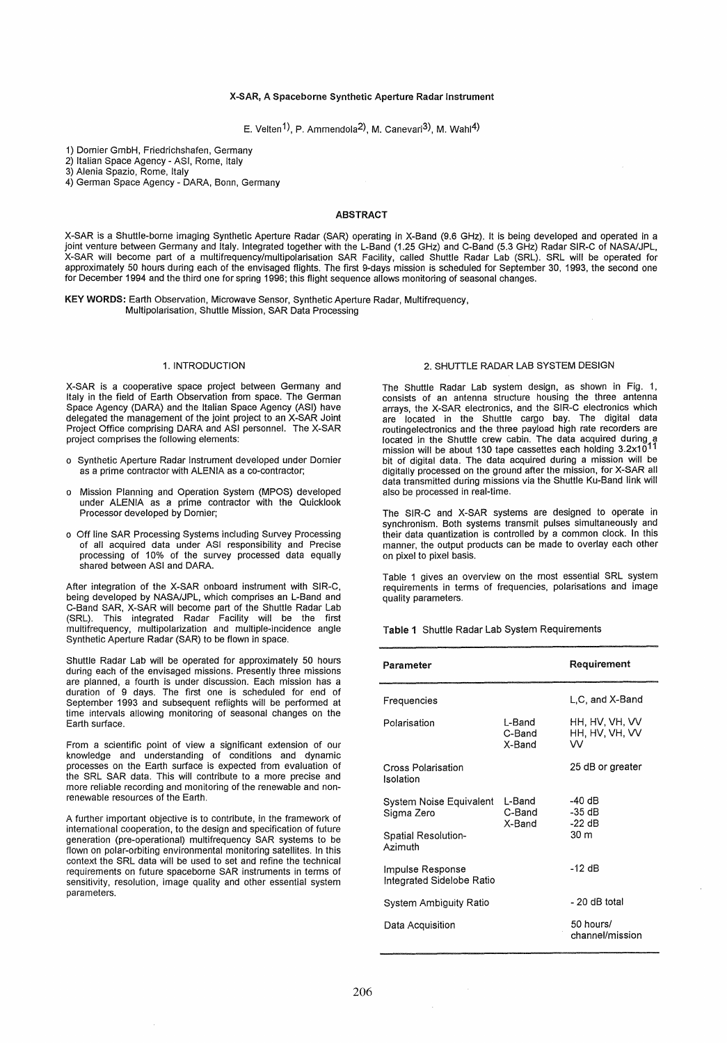### X-SAR, A Spaceborne Synthetic Aperture Radar Instrument

E. Velten<sup>1</sup>), P. Ammendola<sup>2</sup>, M. Canevari<sup>3</sup>), M. Wahl<sup>4</sup>)

1) Dornier GmbH, Friedrichshafen, Germany

2) Italian Space Agency - ASI, Rome, Italy

3) Alenia Spazio, Rome, Italy

4) German Space Agency - DARA, Bonn, Germany

## ABSTRACT

X-SAR is a Shuttle-borne imaging Synthetic Aperture Radar (SAR) operating in X-Band (9.6 GHz). It is being developed and operated in a joint venture between Germany and Italy. Integrated together with the L-Band (1.25 GHz) and C-Band (5.3 GHz) Radar SIR-C of NASAlJPL, X-SAR will become part of a multifrequency/multipolarisation SAR Facility, called Shuttle Radar Lab (SRL). SRL will be operated for approximately 50 hours during each of the envisaged flights. The first 9-days mission is scheduled for September 30, 1993, the second one for December 1994 and the third one for spring 1996; this flight sequence allows monitoring of seasonal changes.

KEY WORDS: Earth Observation, Microwave Sensor, Synthetic Aperture Radar, Multifrequency, Multipolarisation, Shuttle Mission, SAR Data Processing

## 1. INTRODUCTION

X-SAR is a cooperative space project between Germany and Italy in the field of Earth Observation from space. The German Space Agency (DARA) and the Italian Space Agency (ASI) have delegated the management of the joint project to an X-SAR Joint Project Office comprising DARA and ASI personnel. The X-SAR project comprises the following elements:

- o Synthetic Aperture Radar Instrument developed under Dornier as a prime contractor with ALENIA as a co-contractor;
- o Mission Planning and Operation System (MPOS) developed under ALENIA as a prime contractor with the Quicklook Processor developed by Dornier;
- o Off line SAR Processing Systems including Survey Processing of all acquired data under ASI responsibility and Precise processing of 10% of the survey processed data equally shared between ASI and DARA.

After integration of the X-SAR onboard instrument with SIR-C, being developed by NASAlJPL, which comprises an L-Band and C-Band SAR, X-SAR will become part of the Shuttle Radar Lab (SRL). This integrated Radar Facility will be the first multifrequency, multipolarization and multiple-incidence angle Synthetic Aperture Radar (SAR) to be flown in space.

Shuttle Radar Lab will be operated for approximately 50 hours during each of the envisaged missions. Presently three missions are planned, a fourth is under discussion. Each mission has a duration of 9 days. The first one is scheduled for end of September 1993 and subsequent reflights will be performed at time intervals allowing monitoring of seasonal changes on the Earth surface.

From a scientific point of view a significant extension of our knowledge and understanding of conditions and dynamic processes on the Earth surface is expected from evaluation of the SRL SAR data. This will contribute to a more precise and more reliable recording and monitoring of the renewable and nonrenewable resources of the Earth.

A further important objective is to contribute, in the framework of international cooperation, to the design and specification of future generation (pre-operational) multifrequency SAR systems to be flown on polar-orbiting environmental monitoring satellites. In this context the SRL data will be used to set and refine the technical requirements on future spaceborne SAR instruments in terms of sensitivity, resolution, image quality and other essential system parameters.

# 2. SHUTTLE RADAR LAB SYSTEM DESIGN

The Shuttle Radar Lab system design, as shown in Fig. 1, consists of an antenna structure housing the three antenna arrays, the X-SAR electronics, and the SIR-C electronics which are located in the Shuttle cargo bay. The digital data routingelectronics and the three payload high rate recorders are located in the Shuttle crew cabin. The data acquired during a<br>mission will be about 130 tape cassettes each holding 3.2x10<sup>11</sup> bit of digital data. The data acquired during a mission will be digitally processed on the ground after the mission, for X-SAR all data transmitted during missions via the Shuttle Ku-Band link will also be processed in real-time.

The SIR-C and X-SAR systems are designed to operate in synchronism. Both systems transmit pulses simultaneously and their data quantization is controlled by a common clock. In this manner, the output products can be made to overlay each other on pixel to pixel basis.

Table 1 gives an overview on the most essential SRL system requirements in terms of frequencies, polarisations and image quality parameters.

Table 1 Shuttle Radar Lab System Requirements

| Parameter                                     |                            | Requirement                           |
|-----------------------------------------------|----------------------------|---------------------------------------|
| Frequencies                                   |                            | L.C. and X-Band                       |
| Polarisation                                  | L-Band<br>C-Band<br>X-Band | HH, HV, VH, VV<br>HH, HV, VH, VV<br>w |
| Cross Polarisation<br>Isolation               |                            | 25 dB or greater                      |
| System Noise Equivalent<br>Sigma Zero         | L-Band<br>C-Band<br>X-Band | -40 dB<br>-35 dB<br>$-22$ dB          |
| Spatial Resolution-<br>Azimuth                |                            | 30 m                                  |
| Impulse Response<br>Integrated Sidelobe Ratio |                            | -12 dB                                |
| System Ambiguity Ratio                        |                            | - 20 dB total                         |
| Data Acquisition                              |                            | 50 hours/<br>channel/mission          |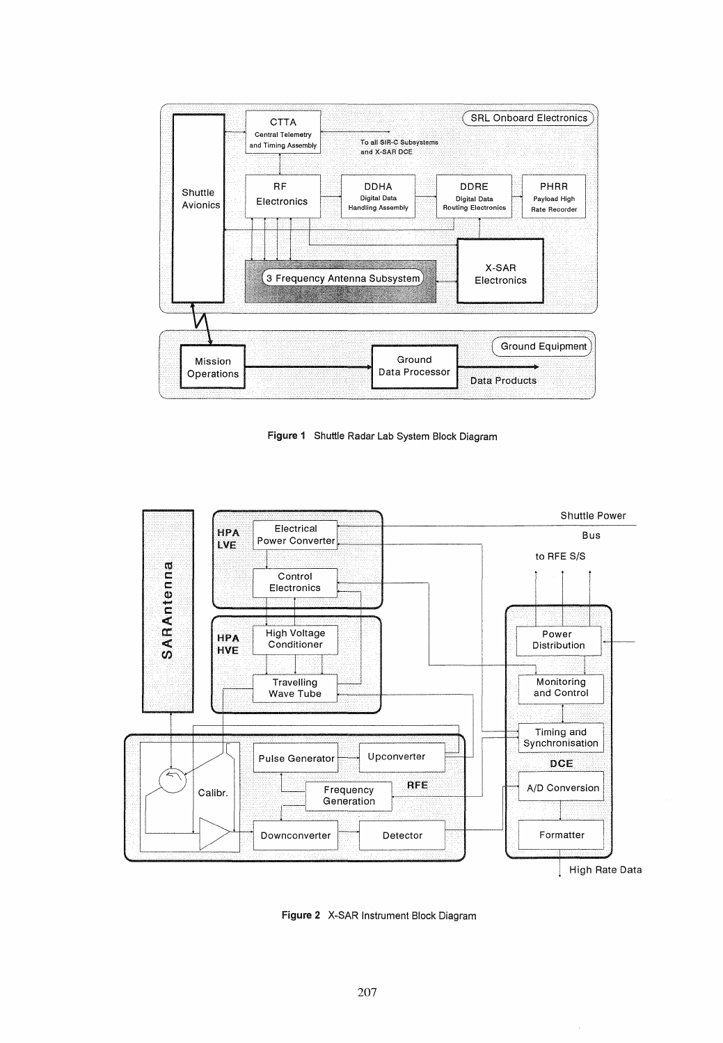

Figura 1 Shuttle Radar Lab System Block Diagram



Figura 2 X-SAR Instrument Block Diagram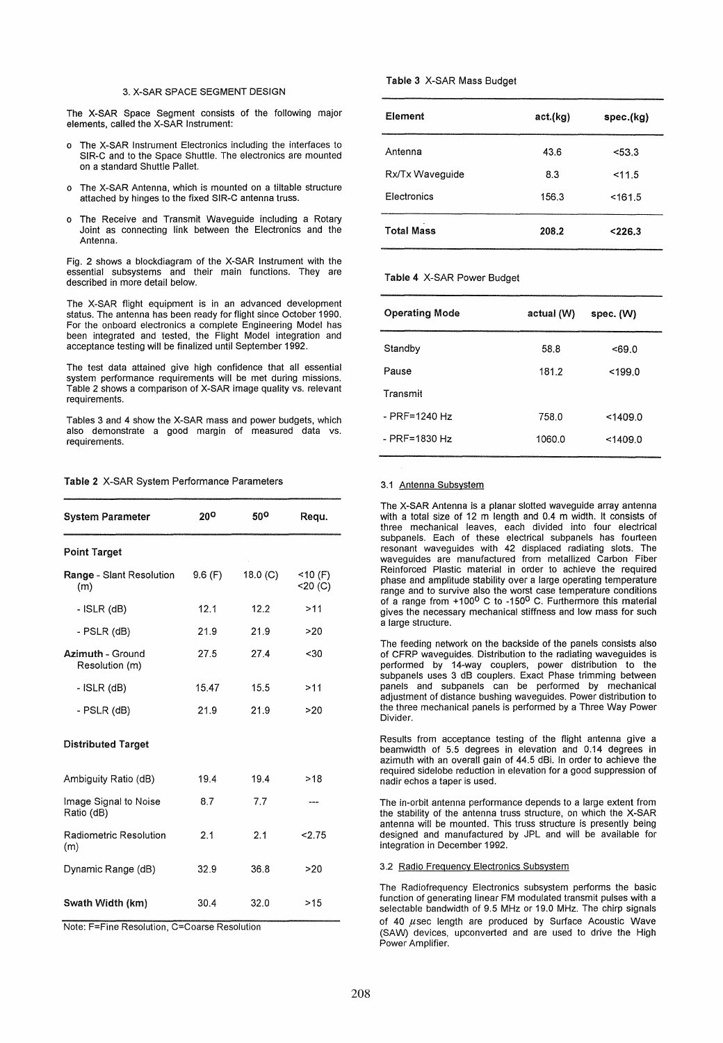### 3. X-SAR SPACE SEGMENT DESIGN

The X-SAR Space Segment consists of the following major elements, called the X-SAR Instrument:

- o The X-SAR Instrument Electronics including the interfaces to SIR-C and to the Space Shuttle. The electronics are mounted on a standard Shuttle Pallet.
- o The X-SAR Antenna, which is mounted on a tiltable structure attached by hinges to the fixed SIR-C antenna truss.
- The Receive and Transmit Waveguide including a Rotary Joint as connecting link between the Electronics and the Antenna.

Fig. 2 shows a blockdiagram of the X-SAR Instrument with the essential subsystems and their main functions. They are described in more detail below.

The X-SAR flight equipment is in an advanced development status. The antenna has been ready for flight since October 1990. For the onboard electronics a complete Engineering Model has been integrated and tested, the Flight Model integration and acceptance testing will be finalized until September 1992.

The test data attained give high confidence that all essential system performance requirements will be met during missions. Table 2 shows a comparison of X-SAR image quality vs. relevant requirements.

Tables 3 and 4 show the X-SAR mass and power budgets, which also demonstrate a good margin of measured data vs. requirements.

## Table 2 X-SAR System Performance Parameters

| <b>System Parameter</b>             | 20°     | 500      | Requ.                      |
|-------------------------------------|---------|----------|----------------------------|
| <b>Point Target</b>                 |         |          |                            |
| Range - Slant Resolution<br>(m)     | 9.6 (F) | 18.0 (C) | $<$ 10 (F)<br>$<$ 20 $(C)$ |
| - ISLR (dB)                         | 12.1    | 12.2     | >11                        |
| - PSLR (dB)                         | 21.9    | 21.9     | >20                        |
| Azimuth - Ground<br>Resolution (m)  | 27.5    | 27.4     | $30$                       |
| - ISLR (dB)                         | 15.47   | 15.5     | >11                        |
| - PSLR (dB)                         | 21.9    | 21.9     | >20                        |
| <b>Distributed Target</b>           |         |          |                            |
| Ambiguity Ratio (dB)                | 19.4    | 19.4     | >18                        |
| Image Signal to Noise<br>Ratio (dB) | 8.7     | 7.7      | ---                        |
| Radiometric Resolution<br>(m)       | 2.1     | 2.1      | 2.75                       |
| Dynamic Range (dB)                  | 32.9    | 36.8     | >20                        |
| Swath Width (km)                    | 30.4    | 32.0     | >15                        |

Note: F=Fine Resolution, C=Coarse Resolution

## Table 3 X-SAR Mass Budget

| Element            | act.(kg) | spec.(kg) |
|--------------------|----------|-----------|
| Antenna            | 43.6     | < 53.3    |
| Rx/Tx Waveguide    | 8.3      | 11.5      |
| <b>Electronics</b> | 156.3    | < 161.5   |
| <b>Total Mass</b>  | 208.2    | < 226.3   |

#### Table 4 X-SAR Power Budget

| <b>Operating Mode</b> | actual (W) | spec. (W) |
|-----------------------|------------|-----------|
| Standby               | 58.8       | < 69.0    |
| Pause                 | 181.2      | $199.0$   |
| Transmit              |            |           |
| $-$ PRF=1240 Hz       | 758.0      | < 1409.0  |
| $-$ PRF=1830 Hz       | 1060.0     | < 1409.0  |
|                       |            |           |

#### 3.1 Antenna Subsystem

The X-SAR Antenna is a planar slotted waveguide array antenna with a total size of 12 m length and 0.4 m width. It consists of three mechanical leaves, each divided into four electrical subpanels. Each of these electrical subpanels has fourteen resonant waveguides with 42 displaced radiating slots. The waveguides are manufactured from metallized Carbon Fiber Reinforced Plastic material in order to achieve the required phase and amplitude stability over a large operating temperature range and to survive also the worst case temperature conditions<br>of a range from +100<sup>0</sup> C to -150<sup>0</sup> C. Furthermore this material gives the necessary mechanical stiffness and low mass for such a large structure.

The feeding network on the backside of the panels consists also of CFRP waveguides. Distribution to the radiating waveguides is performed by 14-way couplers, power distribution to the subpanels uses 3 dB couplers. Exact Phase trimming between panels and subpanels can be performed by mechanical adjustment of distance bushing waveguides. Power distribution to the three mechanical panels is performed by a Three Way Power Divider.

Results from acceptance testing of the flight antenna give a beamwidth of 5.5 degrees in elevation and 0.14 degrees in azimuth with an overall gain of 44.5 dBi. In order to achieve the required sidelobe reduction in elevation for a good suppression of nadir echos a taper is used.

The in-orbit antenna performance depends to a large extent from the stability of the antenna truss structure, on which the X-SAR antenna will be mounted. This truss structure is presently being designed and manufactured by JPL and will be available for integration in December 1992.

#### 3.2 Radio Freguency Electronics Subsystem

The Radiofrequency Electronics subsystem performs the basic function of generating linear FM modulated transmit pulses with a selectable bandwidth of 9.5 MHz or 19.0 MHz. The chirp signals of 40  $\mu$ sec length are produced by Surface Acoustic Wave (SAW) devices, upconverted and are used to drive the High Power Amplifier.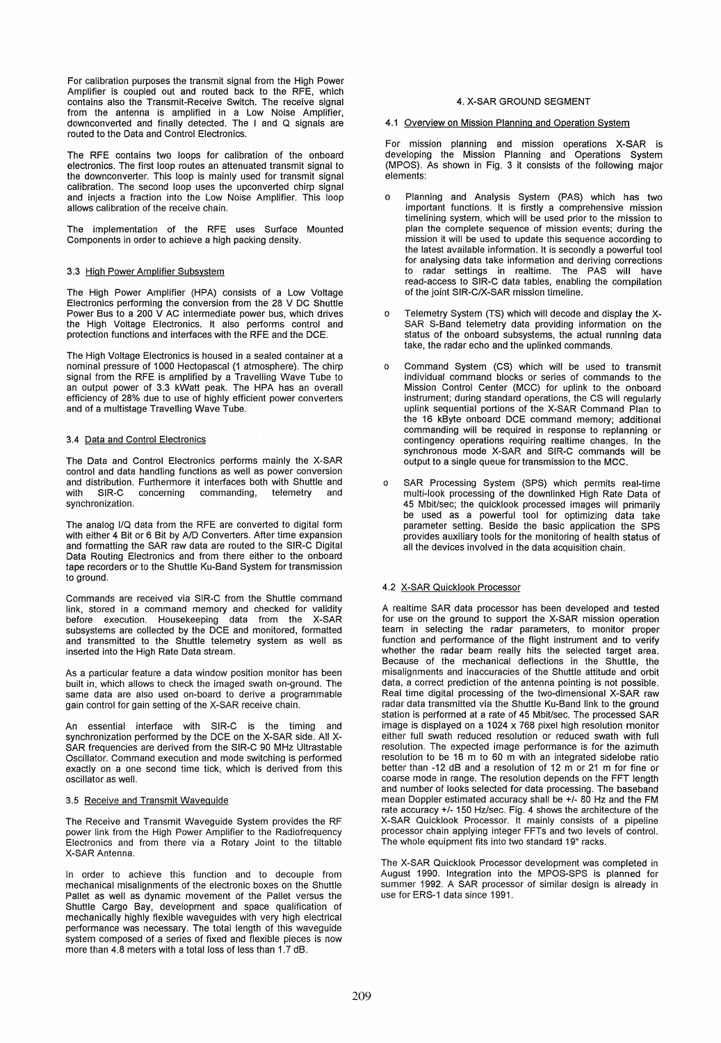For calibration purposes the transmit signal from the High Power Amplifier is coupled out and routed back to the RFE, which contains also the Transmit-Receive Switch. The receive signal from the antenna is amplified in a Low Noise Amplifier, downconverted and finally detected. The land Q signals are routed to the Data and Control Electronics.

The RFE contains two loops for calibration of the onboard electronics. The first loop routes an attenuated transmit signal to the downconverter. This loop is mainly used for transmit signal calibration. The second loop uses the upconverted chirp signal and injects a fraction into the Low Noise Amplifier. This loop allows calibration of the receive chain.

The implementation of the RFE uses Surface Mounted Components in order to achieve a high packing density.

## 3.3 High Power Amplifier Subsystem

The High Power Amplifier (HPA) consists of a Low Voltage Electronics performing the conversion from the 28 V DC Shuttle Power Bus to a 200 V AC intermediate power bus, which drives the High Voltage Electronics. It also performs control and protection functions and interfaces with the RFE and the DCE.

The High Voltage Electronics is housed in a sealed container at a nominal pressure of 1000 Hectopascal (1 atmosphere). The chirp signal from the RFE is amplified by a Travelling Wave Tube to an output power of 3.3 kWatt peak. The HPA has an overall efficiency of 28% due to use of highly efficient power converters and of a multistage Travelling Wave Tube.

### 3.4 Data and Control Electronics

The Data and Control Electronics performs mainly the X-SAR control and data handling functions as weil as power conversion and distribution. Furthermore it interfaces both with Shuttle and with SIR-C concerning commanding, telemetry and synchronization.

The analog I/Q data from the RFE are eonverted to digital form with either 4 Bit or 6 Bit by AlD Converters. After time expansion and formatting the SAR raw data are routed to the SIR-C Digital Data Routing Electronics and from there either to the onboard tape recorders or to the Shuttle Ku-Band System for transmission to ground.

Commands are received via SIR-C from the Shuttle command link, stored in a command memory and checked for validity before execution. Housekeeping data from the X-SAR subsystems are collected by the DCE and monitored, formatted and transmitted to the Shuttle telemetry system as weil as inserted into the High Rate Data stream.

As a particular feature a data window position monitor has been built in, which allows to check the imaged swath on-ground. The same data are also used on-board to derive a programmable gain control for gain setting of the X-SAR receive chain.

An essential interface with SIR-C is the timing and synchronization performed by the DCE on the X-SAR side. All X-SAR frequencies are derived from the SIR-C 90 MHz Ultrastable Oscillator. Command execution and mode switching is performed exactly on a one second time tick, which is derived from this oscillator as wel!.

### 3.5 Receive and Transmit Waveguide

The Receive and Transmit Waveguide System provides the RF power link from the High Power Amplifier to the Radiofrequency Electronics and from there via a Rotary Joint to the tiltable X-SAR Antenna.

In order to achieve this function and to decouple from mechanical misalignments of the electronic boxes on the Shuttle Pallet as weil as dynamic movement of the Pallet versus the Shuttle Cargo Bay, development and space qualification of mechanically highly flexible waveguides with very high electrical performance was necessary. The total length of this waveguide system composed of aseries of fixed and flexible pieces is now more than 4.8 meters with a total loss of less than 1.7 dB.

## 4. X-SAR GROUND SEGMENT

### 4.1 Overview on Mission Planning and Operation System

For mission planning and mission operations X-SAR is developing the Mission Planning and Operations System (MPOS). As shown in Fig. 3 it consists of the following major elements:

- o Planning and Analysis System (PAS) which has two important functions. It is firstly a comprehensive mission timelining system, which will be used prior to the mission to plan the complete sequence of mission events; during the mission it will be used to update this sequence according to the latest available information. It is secondly a powerfuI tool for analysing data take information and deriving corrections to radar settings in realtime. The PAS will have read-access to SIR-C data tables, enabling the compilation of the joint SIR-C/X-SAR mission timeline.
- o Telemetry System (TS) which will decode and display the X-SAR S-Band telemetry data providing information on the status of the onboard subsystems, the actual running data take, the radar echo and the uplinked commands.
- o Command System (CS) which will be used to transmit individual command blocks or series of commands to the Mission Control Center (MCC) for uplink to the onboard instrument; during standard operations, the CS will regularly uplink sequential portions of the X-SAR Command Plan to the 16 kByte onboard DCE command memory; additional commanding will be required in response to replanning or contingency operations requiring realtime changes. In the synchronous mode X-SAR and SIR-C commands will be output to a single queue for transmission to the MCC.
- o SAR Processing System (SPS) which permits real-time multi-look processing of the downlinked High Rate Data of 45 Mbit/sec; the quicklook processed images will primarily be used as a powerful tool for optimizing data take parameter setting. Beside the basic application the SPS provides auxiliary tools for the monitoring of health status of all the devices involved in the data acquisition chain.

## 4.2 X-SAR Quicklook Processor

A realtime SAR data processor has been developed and tested for use on the ground to support the X-SAR mission operation team in selecting the radar parameters, to monitor proper function and performance of the flight instrument and to verify whether the radar beam really hits the selected target area. Because of the mechanical deflections in the Shuttle, the misalignments and inaccuracies of the Shuttle attitude and orbit data, a correct prediction of the antenna pointing is not possible. Real time digital processing of the two-dimensional X-SAR raw radar data transmitted via the Shuttle Ku-Band link to the ground station is performed at a rate of 45 Mbit/sec. The processed SAR image is displayed on a 1024 x 768 pixel high resolution monitor either full swath reduced resolution or reduced swath with full resolution. The expected image performance is for the azimuth resolution to be 16 m to 60 m with an integrated sidelobe ratio better than -12 dB and a resolution of 12  $\text{m}$  or 21 m for fine or coarse mode in range. The resolution depends on the FFT length and number of looks selected for data processing. The baseband mean Doppler estimated accuracy shall be +/- 80 Hz and the FM rate accuracy +/- 150 Hz/sec. Fig. 4 shows the architecture of the X-SAR Quicklook Processor. It mainly consists of a pipeline processor chain applying integer FFTs and two levels of contro!. The whole equipment fits into two standard 19" racks.

The X-SAR Quicklook Processor development was completed in August 1990. Integration into the MPOS-SPS is planned for summer 1992. A SAR processor of similar design is already in use for ERS-1 data since 1991.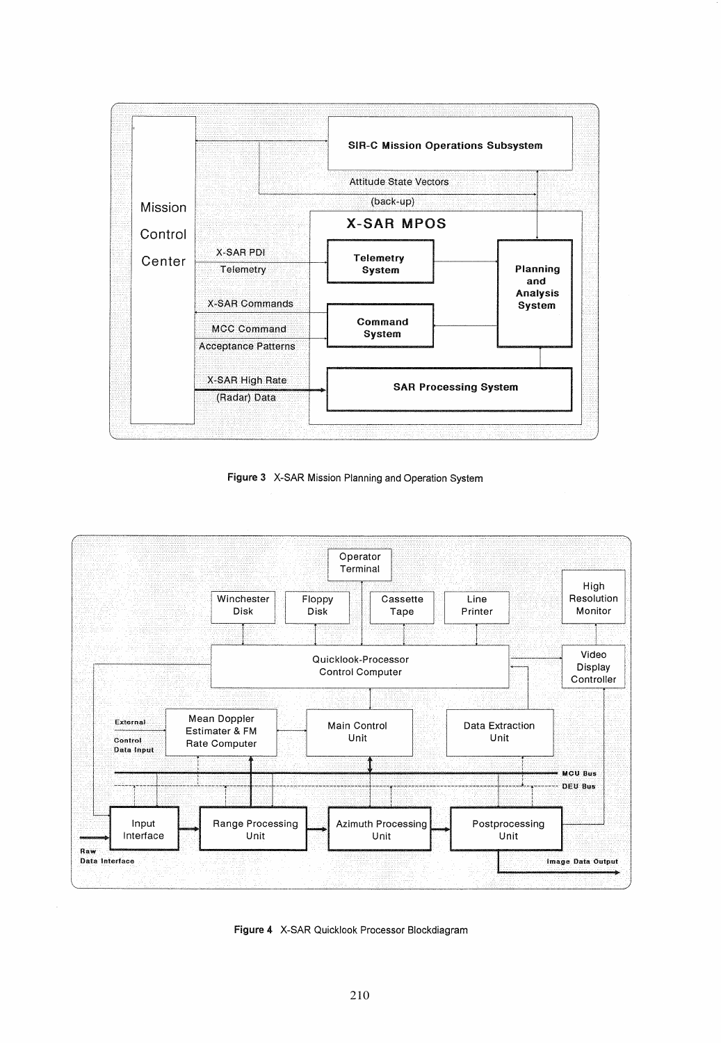

Figure 3 X-SAR Mission Planning and Operation System